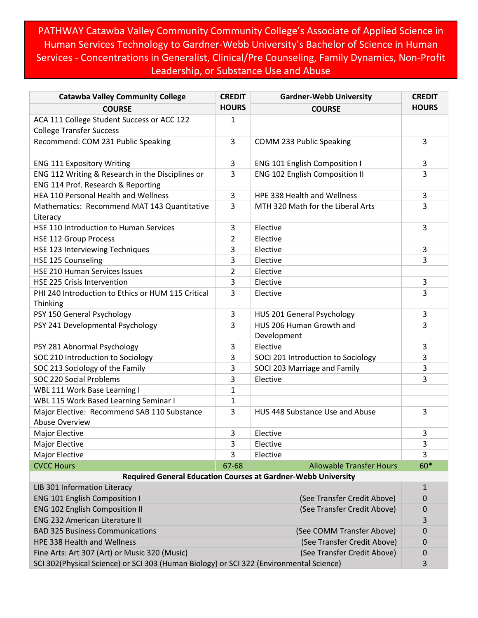PATHWAY Catawba Valley Community Community College's Associate of Applied Science in Human Services Technology to Gardner-Webb University's Bachelor of Science in Human Services - Concentrations in Generalist, Clinical/Pre Counseling, Family Dynamics, Non-Profit Leadership, or Substance Use and Abuse

| <b>Catawba Valley Community College</b>                                                 | <b>CREDIT</b> | <b>Gardner-Webb University</b>                                | <b>CREDIT</b>  |
|-----------------------------------------------------------------------------------------|---------------|---------------------------------------------------------------|----------------|
| <b>COURSE</b>                                                                           | <b>HOURS</b>  | <b>COURSE</b>                                                 | <b>HOURS</b>   |
| ACA 111 College Student Success or ACC 122<br><b>College Transfer Success</b>           | 1             |                                                               |                |
| Recommend: COM 231 Public Speaking                                                      | 3             | COMM 233 Public Speaking                                      | 3              |
| <b>ENG 111 Expository Writing</b>                                                       | 3             | <b>ENG 101 English Composition I</b>                          | 3              |
| ENG 112 Writing & Research in the Disciplines or                                        | 3             | ENG 102 English Composition II                                | 3              |
| ENG 114 Prof. Research & Reporting                                                      |               |                                                               |                |
| HEA 110 Personal Health and Wellness                                                    | 3             | HPE 338 Health and Wellness                                   | 3              |
| Mathematics: Recommend MAT 143 Quantitative<br>Literacy                                 | 3             | MTH 320 Math for the Liberal Arts                             | 3              |
| HSE 110 Introduction to Human Services                                                  | 3             | Elective                                                      | 3              |
| <b>HSE 112 Group Process</b>                                                            | 2             | Elective                                                      |                |
| HSE 123 Interviewing Techniques                                                         | 3             | Elective                                                      | 3              |
| HSE 125 Counseling                                                                      | 3             | Elective                                                      | 3              |
| HSE 210 Human Services Issues                                                           | 2             | Elective                                                      |                |
| <b>HSE 225 Crisis Intervention</b>                                                      | 3             | Elective                                                      | 3              |
| PHI 240 Introduction to Ethics or HUM 115 Critical                                      | 3             | Elective                                                      | 3              |
| Thinking                                                                                |               |                                                               |                |
| PSY 150 General Psychology                                                              | 3             | HUS 201 General Psychology                                    | 3              |
| PSY 241 Developmental Psychology                                                        | 3             | HUS 206 Human Growth and                                      | 3              |
|                                                                                         |               | Development                                                   |                |
| PSY 281 Abnormal Psychology                                                             | 3             | Elective                                                      | 3              |
| SOC 210 Introduction to Sociology                                                       | 3             | SOCI 201 Introduction to Sociology                            | 3              |
| SOC 213 Sociology of the Family                                                         | 3             | SOCI 203 Marriage and Family                                  | 3              |
| SOC 220 Social Problems                                                                 | 3             | Elective                                                      | 3              |
| WBL 111 Work Base Learning I                                                            | 1             |                                                               |                |
| WBL 115 Work Based Learning Seminar I                                                   | $\mathbf{1}$  |                                                               |                |
| Major Elective: Recommend SAB 110 Substance<br><b>Abuse Overview</b>                    | 3             | HUS 448 Substance Use and Abuse                               | 3              |
| Major Elective                                                                          | 3             | Elective                                                      | 3              |
| Major Elective                                                                          | 3             | Elective                                                      | 3              |
| Major Elective                                                                          | 3             | Elective                                                      | $\overline{3}$ |
| <b>CVCC Hours</b>                                                                       | 67-68         | <b>Allowable Transfer Hours</b>                               | 60*            |
|                                                                                         |               | Required General Education Courses at Gardner-Webb University |                |
| LIB 301 Information Literacy                                                            |               |                                                               | 1              |
| <b>ENG 101 English Composition I</b>                                                    |               | (See Transfer Credit Above)                                   | 0              |
| <b>ENG 102 English Composition II</b>                                                   |               | (See Transfer Credit Above)                                   | 0              |
| <b>ENG 232 American Literature II</b>                                                   |               |                                                               | 3              |
| <b>BAD 325 Business Communications</b>                                                  |               | (See COMM Transfer Above)                                     | 0              |
| HPE 338 Health and Wellness                                                             |               | (See Transfer Credit Above)                                   | 0              |
| Fine Arts: Art 307 (Art) or Music 320 (Music)<br>(See Transfer Credit Above)            |               |                                                               | 0              |
| SCI 302(Physical Science) or SCI 303 (Human Biology) or SCI 322 (Environmental Science) |               |                                                               | 3              |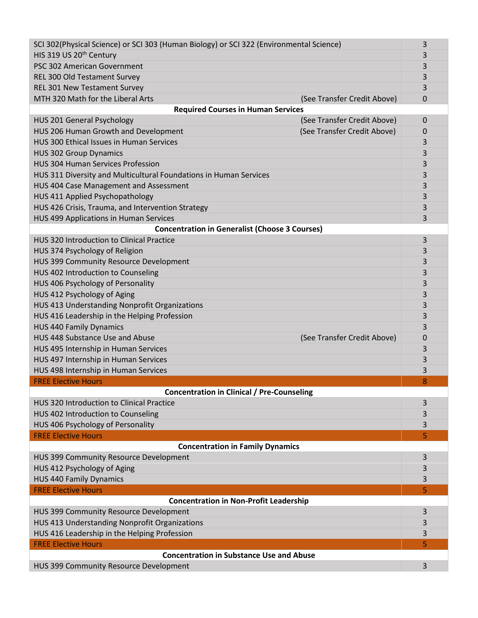| SCI 302(Physical Science) or SCI 303 (Human Biology) or SCI 322 (Environmental Science) |             |  |  |  |
|-----------------------------------------------------------------------------------------|-------------|--|--|--|
| HIS 319 US 20 <sup>th</sup> Century                                                     |             |  |  |  |
| PSC 302 American Government                                                             |             |  |  |  |
| REL 300 Old Testament Survey                                                            | 3           |  |  |  |
| REL 301 New Testament Survey                                                            | 3           |  |  |  |
| MTH 320 Math for the Liberal Arts<br>(See Transfer Credit Above)                        | 0           |  |  |  |
| <b>Required Courses in Human Services</b>                                               |             |  |  |  |
| (See Transfer Credit Above)<br>HUS 201 General Psychology                               | $\mathbf 0$ |  |  |  |
| HUS 206 Human Growth and Development<br>(See Transfer Credit Above)                     | 0           |  |  |  |
| HUS 300 Ethical Issues in Human Services                                                | 3           |  |  |  |
| <b>HUS 302 Group Dynamics</b>                                                           |             |  |  |  |
| <b>HUS 304 Human Services Profession</b>                                                |             |  |  |  |
| HUS 311 Diversity and Multicultural Foundations in Human Services                       |             |  |  |  |
| HUS 404 Case Management and Assessment                                                  |             |  |  |  |
| HUS 411 Applied Psychopathology                                                         |             |  |  |  |
| HUS 426 Crisis, Trauma, and Intervention Strategy                                       |             |  |  |  |
| HUS 499 Applications in Human Services                                                  |             |  |  |  |
| <b>Concentration in Generalist (Choose 3 Courses)</b>                                   |             |  |  |  |
| HUS 320 Introduction to Clinical Practice                                               | 3           |  |  |  |
| HUS 374 Psychology of Religion                                                          |             |  |  |  |
| HUS 399 Community Resource Development                                                  | 3           |  |  |  |
| HUS 402 Introduction to Counseling                                                      | 3           |  |  |  |
| HUS 406 Psychology of Personality                                                       | 3           |  |  |  |
| HUS 412 Psychology of Aging                                                             | 3           |  |  |  |
| HUS 413 Understanding Nonprofit Organizations                                           | 3           |  |  |  |
| HUS 416 Leadership in the Helping Profession                                            | 3           |  |  |  |
| <b>HUS 440 Family Dynamics</b>                                                          | 3           |  |  |  |
| HUS 448 Substance Use and Abuse<br>(See Transfer Credit Above)                          | 0           |  |  |  |
| HUS 495 Internship in Human Services                                                    | 3           |  |  |  |
| HUS 497 Internship in Human Services                                                    | 3           |  |  |  |
| HUS 498 Internship in Human Services                                                    | 3           |  |  |  |
| <b>FREE Elective Hours</b>                                                              | 8           |  |  |  |
| <b>Concentration in Clinical / Pre-Counseling</b>                                       |             |  |  |  |
| HUS 320 Introduction to Clinical Practice                                               | 3           |  |  |  |
| HUS 402 Introduction to Counseling                                                      | 3           |  |  |  |
| HUS 406 Psychology of Personality                                                       | 3           |  |  |  |
| <b>FREE Elective Hours</b>                                                              | 5           |  |  |  |
| <b>Concentration in Family Dynamics</b>                                                 |             |  |  |  |
| HUS 399 Community Resource Development                                                  | 3           |  |  |  |
| HUS 412 Psychology of Aging                                                             | 3           |  |  |  |
| <b>HUS 440 Family Dynamics</b>                                                          | 3           |  |  |  |
| <b>FREE Elective Hours</b>                                                              | 5           |  |  |  |
| <b>Concentration in Non-Profit Leadership</b>                                           |             |  |  |  |
| HUS 399 Community Resource Development                                                  | 3           |  |  |  |
| HUS 413 Understanding Nonprofit Organizations                                           |             |  |  |  |
| HUS 416 Leadership in the Helping Profession                                            |             |  |  |  |
| <b>FREE Elective Hours</b>                                                              |             |  |  |  |
| <b>Concentration in Substance Use and Abuse</b>                                         |             |  |  |  |
| HUS 399 Community Resource Development                                                  | 3           |  |  |  |